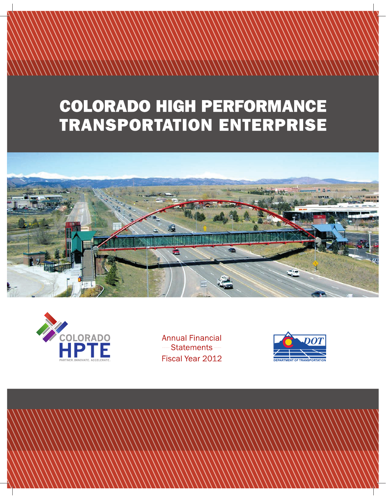# **COLORADO HIGH PERFORMANCE TRANSPORTATION ENTERPRISE**





**Annual Financial** -Statements -Fiscal Year 2012

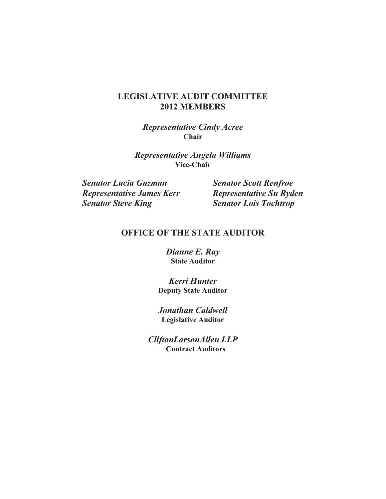## **LEGISLATIVE AUDIT COMMITTEE 2012 MEMBERS**

*Representative Cindy Acree* **Chair**

*Representative Angela Williams* **Vice-Chair**

*Senator Lucia Guzman Senator Scott Renfroe Representative James Kerr Representative Su Ryden*<br> *Senator Steve King Senator Lois Tochtrop* 

**Senator Lois Tochtrop** 

# **OFFICE OF THE STATE AUDITOR**

*Dianne E. Ray*  **State Auditor** 

*Kerri Hunter*  **Deputy State Auditor** 

*Jonathan Caldwell* **Legislative Auditor** 

*CliftonLarsonAllen LLP* **Contract Auditors**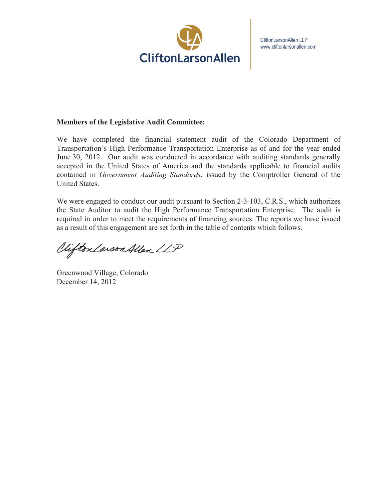

CliftonLarsonAllen LLP www.cliftonlarsonallen.com

#### **Members of the Legislative Audit Committee:**

We have completed the financial statement audit of the Colorado Department of Transportation's High Performance Transportation Enterprise as of and for the year ended June 30, 2012. Our audit was conducted in accordance with auditing standards generally accepted in the United States of America and the standards applicable to financial audits contained in *Government Auditing Standards*, issued by the Comptroller General of the United States.

We were engaged to conduct our audit pursuant to Section 2-3-103, C.R.S., which authorizes the State Auditor to audit the High Performance Transportation Enterprise. The audit is required in order to meet the requirements of financing sources. The reports we have issued as a result of this engagement are set forth in the table of contents which follows.

Viifton Larson Allen LLP

Greenwood Village, Colorado December 14, 2012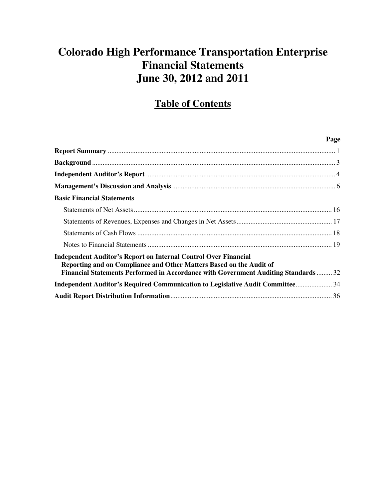# **Colorado High Performance Transportation Enterprise Financial Statements June 30, 2012 and 2011**

# **Table of Contents**

|                                                                                                                                                                                                                                      | Page |
|--------------------------------------------------------------------------------------------------------------------------------------------------------------------------------------------------------------------------------------|------|
|                                                                                                                                                                                                                                      |      |
|                                                                                                                                                                                                                                      |      |
|                                                                                                                                                                                                                                      |      |
|                                                                                                                                                                                                                                      |      |
| <b>Basic Financial Statements</b>                                                                                                                                                                                                    |      |
|                                                                                                                                                                                                                                      |      |
|                                                                                                                                                                                                                                      |      |
|                                                                                                                                                                                                                                      |      |
|                                                                                                                                                                                                                                      |      |
| <b>Independent Auditor's Report on Internal Control Over Financial</b><br>Reporting and on Compliance and Other Matters Based on the Audit of<br>Financial Statements Performed in Accordance with Government Auditing Standards  32 |      |
| Independent Auditor's Required Communication to Legislative Audit Committee 34                                                                                                                                                       |      |
|                                                                                                                                                                                                                                      |      |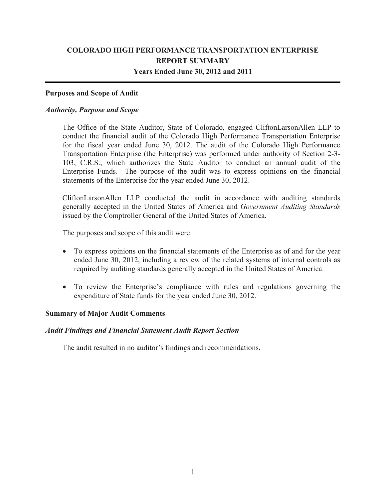### **COLORADO HIGH PERFORMANCE TRANSPORTATION ENTERPRISE REPORT SUMMARY Years Ended June 30, 2012 and 2011**

#### **Purposes and Scope of Audit**

#### *Authority, Purpose and Scope*

The Office of the State Auditor, State of Colorado, engaged CliftonLarsonAllen LLP to conduct the financial audit of the Colorado High Performance Transportation Enterprise for the fiscal year ended June 30, 2012. The audit of the Colorado High Performance Transportation Enterprise (the Enterprise) was performed under authority of Section 2-3- 103, C.R.S., which authorizes the State Auditor to conduct an annual audit of the Enterprise Funds. The purpose of the audit was to express opinions on the financial statements of the Enterprise for the year ended June 30, 2012.

CliftonLarsonAllen LLP conducted the audit in accordance with auditing standards generally accepted in the United States of America and *Government Auditing Standards* issued by the Comptroller General of the United States of America.

The purposes and scope of this audit were:

- To express opinions on the financial statements of the Enterprise as of and for the year ended June 30, 2012, including a review of the related systems of internal controls as required by auditing standards generally accepted in the United States of America.
- To review the Enterprise's compliance with rules and regulations governing the expenditure of State funds for the year ended June 30, 2012.

#### **Summary of Major Audit Comments**

#### *Audit Findings and Financial Statement Audit Report Section*

The audit resulted in no auditor's findings and recommendations.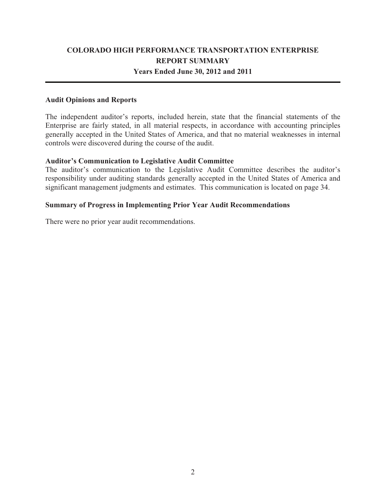### **COLORADO HIGH PERFORMANCE TRANSPORTATION ENTERPRISE REPORT SUMMARY Years Ended June 30, 2012 and 2011**

### **Audit Opinions and Reports**

The independent auditor's reports, included herein, state that the financial statements of the Enterprise are fairly stated, in all material respects, in accordance with accounting principles generally accepted in the United States of America, and that no material weaknesses in internal controls were discovered during the course of the audit.

### **Auditor's Communication to Legislative Audit Committee**

The auditor's communication to the Legislative Audit Committee describes the auditor's responsibility under auditing standards generally accepted in the United States of America and significant management judgments and estimates. This communication is located on page 34.

### **Summary of Progress in Implementing Prior Year Audit Recommendations**

There were no prior year audit recommendations.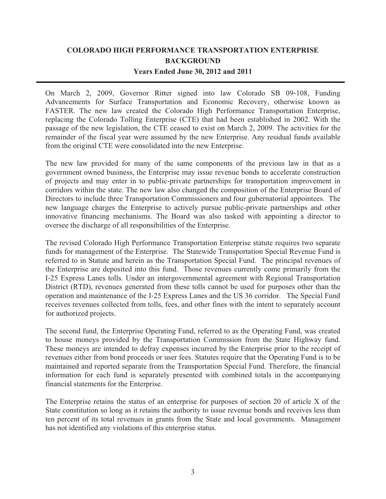# **COLORADO HIGH PERFORMANCE TRANSPORTATION ENTERPRISE BACKGROUND Years Ended June 30, 2012 and 2011**

On March 2, 2009, Governor Ritter signed into law Colorado SB 09 108, Funding Advancements for Surface Transportation and Economic Recovery, otherwise known as FASTER. The new law created the Colorado High Performance Transportation Enterprise, replacing the Colorado Tolling Enterprise (CTE) that had been established in 2002. With the passage of the new legislation, the CTE ceased to exist on March 2, 2009. The activities for the remainder of the fiscal year were assumed by the new Enterprise. Any residual funds available from the original CTE were consolidated into the new Enterprise.

The new law provided for many of the same components of the previous law in that as a government owned business, the Enterprise may issue revenue bonds to accelerate construction of projects and may enter in to public-private partnerships for transportation improvement in corridors within the state. The new law also changed the composition of the Enterprise Board of Directors to include three Transportation Commissioners and four gubernatorial appointees. The new language charges the Enterprise to actively pursue public-private partnerships and other innovative financing mechanisms. The Board was also tasked with appointing a director to oversee the discharge of all responsibilities of the Enterprise.

The revised Colorado High Performance Transportation Enterprise statute requires two separate funds for management of the Enterprise. The Statewide Transportation Special Revenue Fund is referred to in Statute and herein as the Transportation Special Fund. The principal revenues of the Enterprise are deposited into this fund. Those revenues currently come primarily from the I 25 Express Lanes tolls. Under an intergovernmental agreement with Regional Transportation District (RTD), revenues generated from these tolls cannot be used for purposes other than the operation and maintenance of the I-25 Express Lanes and the US 36 corridor. The Special Fund receives revenues collected from tolls, fees, and other fines with the intent to separately account for authorized projects.

The second fund, the Enterprise Operating Fund, referred to as the Operating Fund, was created to house moneys provided by the Transportation Commission from the State Highway fund. These moneys are intended to defray expenses incurred by the Enterprise prior to the receipt of revenues either from bond proceeds or user fees. Statutes require that the Operating Fund is to be maintained and reported separate from the Transportation Special Fund. Therefore, the financial information for each fund is separately presented with combined totals in the accompanying financial statements for the Enterprise.

The Enterprise retains the status of an enterprise for purposes of section 20 of article X of the State constitution so long as it retains the authority to issue revenue bonds and receives less than ten percent of its total revenues in grants from the State and local governments. Management has not identified any violations of this enterprise status.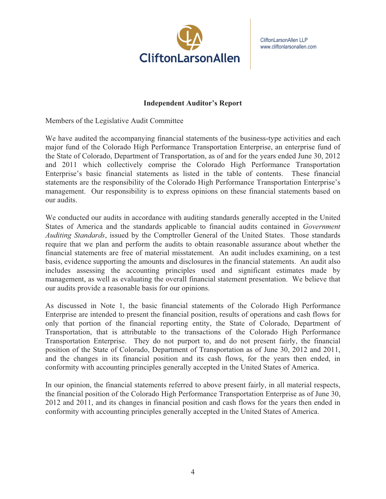

CliftonLarsonAllen LLP www.cliftonlarsonallen.com

#### **Independent Auditor's Report**

Members of the Legislative Audit Committee

We have audited the accompanying financial statements of the business-type activities and each major fund of the Colorado High Performance Transportation Enterprise, an enterprise fund of the State of Colorado, Department of Transportation, as of and for the years ended June 30, 2012 and 2011 which collectively comprise the Colorado High Performance Transportation Enterprise's basic financial statements as listed in the table of contents. These financial statements are the responsibility of the Colorado High Performance Transportation Enterprise's management. Our responsibility is to express opinions on these financial statements based on our audits.

We conducted our audits in accordance with auditing standards generally accepted in the United States of America and the standards applicable to financial audits contained in *Government Auditing Standards*, issued by the Comptroller General of the United States. Those standards require that we plan and perform the audits to obtain reasonable assurance about whether the financial statements are free of material misstatement. An audit includes examining, on a test basis, evidence supporting the amounts and disclosures in the financial statements. An audit also includes assessing the accounting principles used and significant estimates made by management, as well as evaluating the overall financial statement presentation. We believe that our audits provide a reasonable basis for our opinions.

As discussed in Note 1, the basic financial statements of the Colorado High Performance Enterprise are intended to present the financial position, results of operations and cash flows for only that portion of the financial reporting entity, the State of Colorado, Department of Transportation, that is attributable to the transactions of the Colorado High Performance Transportation Enterprise. They do not purport to, and do not present fairly, the financial position of the State of Colorado, Department of Transportation as of June 30, 2012 and 2011, and the changes in its financial position and its cash flows, for the years then ended, in conformity with accounting principles generally accepted in the United States of America.

In our opinion, the financial statements referred to above present fairly, in all material respects, the financial position of the Colorado High Performance Transportation Enterprise as of June 30, 2012 and 2011, and its changes in financial position and cash flows for the years then ended in conformity with accounting principles generally accepted in the United States of America.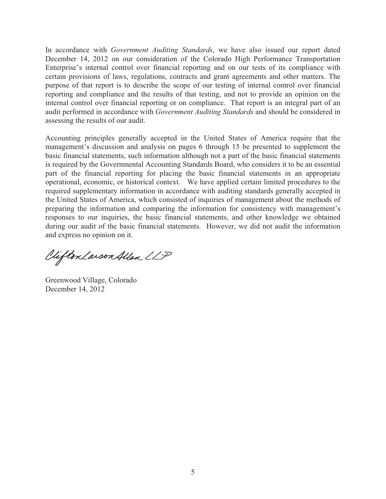In accordance with *Government Auditing Standards*, we have also issued our report dated December 14, 2012 on our consideration of the Colorado High Performance Transportation Enterprise's internal control over financial reporting and on our tests of its compliance with certain provisions of laws, regulations, contracts and grant agreements and other matters. The purpose of that report is to describe the scope of our testing of internal control over financial reporting and compliance and the results of that testing, and not to provide an opinion on the internal control over financial reporting or on compliance. That report is an integral part of an audit performed in accordance with *Government Auditing Standards* and should be considered in assessing the results of our audit.

Accounting principles generally accepted in the United States of America require that the management's discussion and analysis on pages 6 through 15 be presented to supplement the basic financial statements, such information although not a part of the basic financial statements is required by the Governmental Accounting Standards Board, who considers it to be an essential part of the financial reporting for placing the basic financial statements in an appropriate operational, economic, or historical context. We have applied certain limited procedures to the required supplementary information in accordance with auditing standards generally accepted in the United States of America, which consisted of inquiries of management about the methods of preparing the information and comparing the information for consistency with management's responses to our inquiries, the basic financial statements, and other knowledge we obtained during our audit of the basic financial statements. However, we did not audit the information and express no opinion on it.

Vifton Larson Allen LLP

Greenwood Village, Colorado December 14, 2012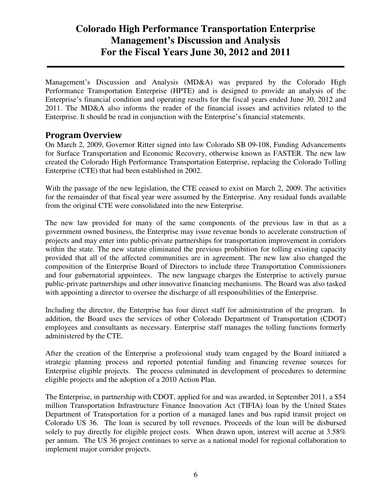Management's Discussion and Analysis (MD&A) was prepared by the Colorado High Performance Transportation Enterprise (HPTE) and is designed to provide an analysis of the Enterprise's financial condition and operating results for the fiscal years ended June 30, 2012 and 2011. The MD&A also informs the reader of the financial issues and activities related to the Enterprise. It should be read in conjunction with the Enterprise's financial statements.

### Program Overview

On March 2, 2009, Governor Ritter signed into law Colorado SB 09‐108, Funding Advancements for Surface Transportation and Economic Recovery, otherwise known as FASTER. The new law created the Colorado High Performance Transportation Enterprise, replacing the Colorado Tolling Enterprise (CTE) that had been established in 2002.

With the passage of the new legislation, the CTE ceased to exist on March 2, 2009. The activities for the remainder of that fiscal year were assumed by the Enterprise. Any residual funds available from the original CTE were consolidated into the new Enterprise.

The new law provided for many of the same components of the previous law in that as a government owned business, the Enterprise may issue revenue bonds to accelerate construction of projects and may enter into public-private partnerships for transportation improvement in corridors within the state. The new statute eliminated the previous prohibition for tolling existing capacity provided that all of the affected communities are in agreement. The new law also changed the composition of the Enterprise Board of Directors to include three Transportation Commissioners and four gubernatorial appointees. The new language charges the Enterprise to actively pursue public-private partnerships and other innovative financing mechanisms. The Board was also tasked with appointing a director to oversee the discharge of all responsibilities of the Enterprise.

Including the director, the Enterprise has four direct staff for administration of the program. In addition, the Board uses the services of other Colorado Department of Transportation (CDOT) employees and consultants as necessary. Enterprise staff manages the tolling functions formerly administered by the CTE.

After the creation of the Enterprise a professional study team engaged by the Board initiated a strategic planning process and reported potential funding and financing revenue sources for Enterprise eligible projects. The process culminated in development of procedures to determine eligible projects and the adoption of a 2010 Action Plan.

The Enterprise, in partnership with CDOT, applied for and was awarded, in September 2011, a \$54 million Transportation Infrastructure Finance Innovation Act (TIFIA) loan by the United States Department of Transportation for a portion of a managed lanes and bus rapid transit project on Colorado US 36. The loan is secured by toll revenues. Proceeds of the loan will be disbursed solely to pay directly for eligible project costs. When drawn upon, interest will accrue at 3.58% per annum. The US 36 project continues to serve as a national model for regional collaboration to implement major corridor projects.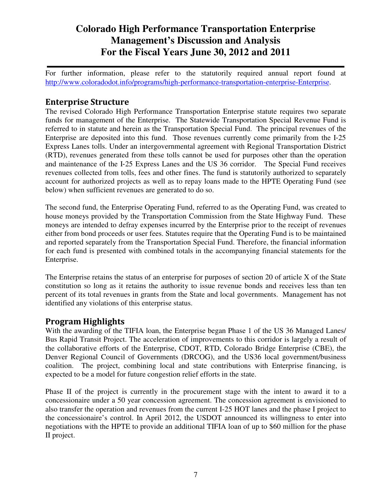For further information, please refer to the statutorily required annual report found at http://www.coloradodot.info/programs/high-performance-transportation-enterprise-Enterprise.

### Enterprise Structure

The revised Colorado High Performance Transportation Enterprise statute requires two separate funds for management of the Enterprise. The Statewide Transportation Special Revenue Fund is referred to in statute and herein as the Transportation Special Fund. The principal revenues of the Enterprise are deposited into this fund. Those revenues currently come primarily from the I‐25 Express Lanes tolls. Under an intergovernmental agreement with Regional Transportation District (RTD), revenues generated from these tolls cannot be used for purposes other than the operation and maintenance of the I‐25 Express Lanes and the US 36 corridor. The Special Fund receives revenues collected from tolls, fees and other fines. The fund is statutorily authorized to separately account for authorized projects as well as to repay loans made to the HPTE Operating Fund (see below) when sufficient revenues are generated to do so.

The second fund, the Enterprise Operating Fund, referred to as the Operating Fund, was created to house moneys provided by the Transportation Commission from the State Highway Fund. These moneys are intended to defray expenses incurred by the Enterprise prior to the receipt of revenues either from bond proceeds or user fees. Statutes require that the Operating Fund is to be maintained and reported separately from the Transportation Special Fund. Therefore, the financial information for each fund is presented with combined totals in the accompanying financial statements for the Enterprise.

The Enterprise retains the status of an enterprise for purposes of section 20 of article X of the State constitution so long as it retains the authority to issue revenue bonds and receives less than ten percent of its total revenues in grants from the State and local governments. Management has not identified any violations of this enterprise status.

### Program Highlights

With the awarding of the TIFIA loan, the Enterprise began Phase 1 of the US 36 Managed Lanes/ Bus Rapid Transit Project. The acceleration of improvements to this corridor is largely a result of the collaborative efforts of the Enterprise, CDOT, RTD, Colorado Bridge Enterprise (CBE), the Denver Regional Council of Governments (DRCOG), and the US36 local government/business coalition. The project, combining local and state contributions with Enterprise financing, is expected to be a model for future congestion relief efforts in the state.

Phase II of the project is currently in the procurement stage with the intent to award it to a concessionaire under a 50 year concession agreement. The concession agreement is envisioned to also transfer the operation and revenues from the current I-25 HOT lanes and the phase I project to the concessionaire's control. In April 2012, the USDOT announced its willingness to enter into negotiations with the HPTE to provide an additional TIFIA loan of up to \$60 million for the phase II project.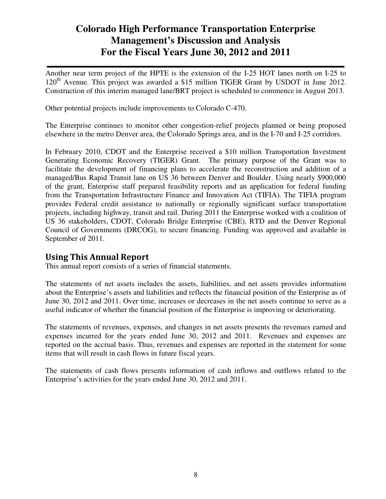Another near term project of the HPTE is the extension of the I-25 HOT lanes north on I-25 to 120<sup>th</sup> Avenue. This project was awarded a \$15 million TIGER Grant by USDOT in June 2012. Construction of this interim managed lane/BRT project is scheduled to commence in August 2013.

Other potential projects include improvements to Colorado C-470.

The Enterprise continues to monitor other congestion-relief projects planned or being proposed elsewhere in the metro Denver area, the Colorado Springs area, and in the I-70 and I-25 corridors.

In February 2010, CDOT and the Enterprise received a \$10 million Transportation Investment Generating Economic Recovery (TIGER) Grant. The primary purpose of the Grant was to facilitate the development of financing plans to accelerate the reconstruction and addition of a managed/Bus Rapid Transit lane on US 36 between Denver and Boulder. Using nearly \$900,000 of the grant, Enterprise staff prepared feasibility reports and an application for federal funding from the Transportation Infrastructure Finance and Innovation Act (TIFIA). The TIFIA program provides Federal credit assistance to nationally or regionally significant surface transportation projects, including highway, transit and rail. During 2011 the Enterprise worked with a coalition of US 36 stakeholders, CDOT, Colorado Bridge Enterprise (CBE), RTD and the Denver Regional Council of Governments (DRCOG), to secure financing. Funding was approved and available in September of 2011.

### Using This Annual Report

This annual report consists of a series of financial statements.

The statements of net assets includes the assets, liabilities, and net assets provides information about the Enterprise's assets and liabilities and reflects the financial position of the Enterprise as of June 30, 2012 and 2011. Over time, increases or decreases in the net assets continue to serve as a useful indicator of whether the financial position of the Enterprise is improving or deteriorating.

The statements of revenues, expenses, and changes in net assets presents the revenues earned and expenses incurred for the years ended June 30, 2012 and 2011. Revenues and expenses are reported on the accrual basis. Thus, revenues and expenses are reported in the statement for some items that will result in cash flows in future fiscal years.

The statements of cash flows presents information of cash inflows and outflows related to the Enterprise's activities for the years ended June 30, 2012 and 2011.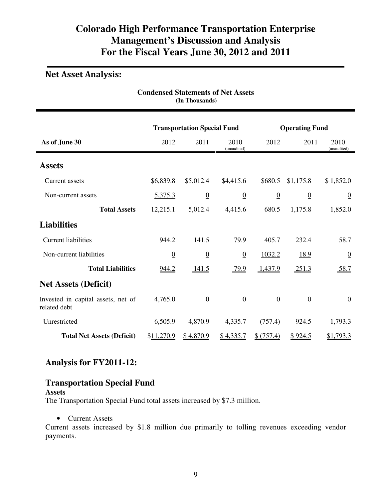# Net Asset Analysis:

| <b>Condensed Statements of Net Assets</b><br>(In Thousands) |                |                 |                     |                |                  |                     |  |
|-------------------------------------------------------------|----------------|-----------------|---------------------|----------------|------------------|---------------------|--|
| <b>Transportation Special Fund</b><br><b>Operating Fund</b> |                |                 |                     |                |                  |                     |  |
| As of June 30                                               | 2012           | 2011            | 2010<br>(unaudited) | 2012           | 2011             | 2010<br>(unaudited) |  |
| <b>Assets</b>                                               |                |                 |                     |                |                  |                     |  |
| Current assets                                              | \$6,839.8      | \$5,012.4       | \$4,415.6           | \$680.5        | \$1,175.8        | \$1,852.0           |  |
| Non-current assets                                          | 5,375.3        | $\underline{0}$ | $\underline{0}$     | $\overline{0}$ | $\overline{0}$   | $\overline{0}$      |  |
| <b>Total Assets</b>                                         | 12,215.1       | 5,012.4         | 4,415.6             | 680.5          | 1,175.8          | 1,852.0             |  |
| <b>Liabilities</b>                                          |                |                 |                     |                |                  |                     |  |
| <b>Current liabilities</b>                                  | 944.2          | 141.5           | 79.9                | 405.7          | 232.4            | 58.7                |  |
| Non-current liabilities                                     | $\overline{0}$ | $\overline{0}$  | $\underline{0}$     | 1032.2         | 18.9             | $\overline{0}$      |  |
| <b>Total Liabilities</b>                                    | 944.2          | 141.5           | 79.9                | 1,437.9        | 251.3            | 58.7                |  |
| <b>Net Assets (Deficit)</b>                                 |                |                 |                     |                |                  |                     |  |
| Invested in capital assets, net of<br>related debt          | 4,765.0        | $\mathbf{0}$    | $\boldsymbol{0}$    | $\overline{0}$ | $\boldsymbol{0}$ | $\overline{0}$      |  |
| Unrestricted                                                | 6,505.9        | 4,870.9         | 4,335.7             | (757.4)        | 924.5            | 1,793.3             |  |
| <b>Total Net Assets (Deficit)</b>                           | \$11,270.9     | \$4,870.9       | \$4,335.7           | \$(757.4)      | \$924.5          | \$1,793.3           |  |

### **Analysis for FY2011-12:**

# **Transportation Special Fund**

#### **Assets**

The Transportation Special Fund total assets increased by \$7.3 million.

#### • Current Assets

Current assets increased by \$1.8 million due primarily to tolling revenues exceeding vendor payments.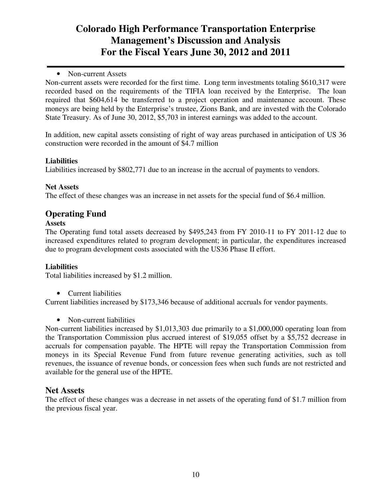### • Non-current Assets

Non-current assets were recorded for the first time. Long term investments totaling \$610,317 were recorded based on the requirements of the TIFIA loan received by the Enterprise. The loan required that \$604,614 be transferred to a project operation and maintenance account. These moneys are being held by the Enterprise's trustee, Zions Bank, and are invested with the Colorado State Treasury. As of June 30, 2012, \$5,703 in interest earnings was added to the account.

In addition, new capital assets consisting of right of way areas purchased in anticipation of US 36 construction were recorded in the amount of \$4.7 million

### **Liabilities**

Liabilities increased by \$802,771 due to an increase in the accrual of payments to vendors.

### **Net Assets**

The effect of these changes was an increase in net assets for the special fund of \$6.4 million.

### **Operating Fund**

#### **Assets**

The Operating fund total assets decreased by \$495,243 from FY 2010-11 to FY 2011-12 due to increased expenditures related to program development; in particular, the expenditures increased due to program development costs associated with the US36 Phase II effort.

### **Liabilities**

Total liabilities increased by \$1.2 million.

• Current liabilities

Current liabilities increased by \$173,346 because of additional accruals for vendor payments.

• Non-current liabilities

Non-current liabilities increased by \$1,013,303 due primarily to a \$1,000,000 operating loan from the Transportation Commission plus accrued interest of \$19,055 offset by a \$5,752 decrease in accruals for compensation payable. The HPTE will repay the Transportation Commission from moneys in its Special Revenue Fund from future revenue generating activities, such as toll revenues, the issuance of revenue bonds, or concession fees when such funds are not restricted and available for the general use of the HPTE.

### **Net Assets**

The effect of these changes was a decrease in net assets of the operating fund of \$1.7 million from the previous fiscal year.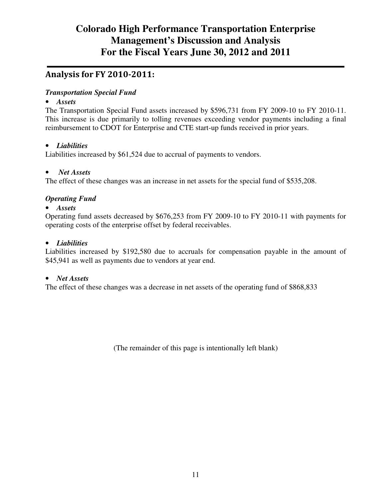# Analysis for FY 2010-2011:

### *Transportation Special Fund*

### • *Assets*

The Transportation Special Fund assets increased by \$596,731 from FY 2009-10 to FY 2010-11. This increase is due primarily to tolling revenues exceeding vendor payments including a final reimbursement to CDOT for Enterprise and CTE start-up funds received in prior years.

### • *Liabilities*

Liabilities increased by \$61,524 due to accrual of payments to vendors.

### • *Net Assets*

The effect of these changes was an increase in net assets for the special fund of \$535,208.

### *Operating Fund*

### • *Assets*

Operating fund assets decreased by \$676,253 from FY 2009-10 to FY 2010-11 with payments for operating costs of the enterprise offset by federal receivables.

### • *Liabilities*

Liabilities increased by \$192,580 due to accruals for compensation payable in the amount of \$45,941 as well as payments due to vendors at year end.

### • *Net Assets*

The effect of these changes was a decrease in net assets of the operating fund of \$868,833

(The remainder of this page is intentionally left blank)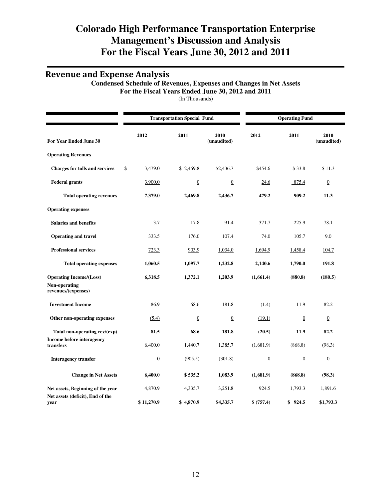### Revenue and Expense Analysis

#### **Condensed Schedule of Revenues, Expenses and Changes in Net Assets For the Fiscal Years Ended June 30, 2012 and 2011**

(In Thousands)

|                | <b>Transportation Special Fund</b> |                     |                | <b>Operating Fund</b> |                      |  |
|----------------|------------------------------------|---------------------|----------------|-----------------------|----------------------|--|
| 2012           | 2011                               | 2010<br>(unaudited) | 2012           | 2011                  | 2010<br>(unaudited)  |  |
|                |                                    |                     |                |                       |                      |  |
| \$<br>3,479.0  | \$2,469.8                          | \$2,436.7           | \$454.6        | \$33.8                | \$11.3               |  |
| 3,900.0        | $\boldsymbol{0}$                   | $\boldsymbol{0}$    | 24.6           | 875.4                 | $\boldsymbol{0}$     |  |
| 7,379.0        | 2,469.8                            | 2,436.7             | 479.2          | 909.2                 | 11.3                 |  |
|                |                                    |                     |                |                       |                      |  |
| 3.7            | 17.8                               | 91.4                | 371.7          | 225.9                 | 78.1                 |  |
| 333.5          | 176.0                              | 107.4               | 74.0           | 105.7                 | 9.0                  |  |
| 723.3          | 903.9                              | 1,034.0             | 1,694.9        | 1,458.4               | 104.7                |  |
| 1,060.5        | 1,097.7                            | 1,232.8             | 2,140.6        | 1,790.0               | 191.8                |  |
| 6,318.5        | 1,372.1                            | 1,203.9             | (1,661.4)      | (880.8)               | (180.5)              |  |
| 86.9           | 68.6                               | 181.8               | (1.4)          | 11.9                  | 82.2                 |  |
| (5.4)          | $\overline{0}$                     | $\underline{0}$     | (19.1)         | $\overline{0}$        | $\overline{0}$       |  |
| 81.5           | 68.6                               | 181.8               | (20.5)         | 11.9                  | 82.2                 |  |
| 6,400.0        | 1,440.7                            | 1,385.7             | (1,681.9)      | (868.8)               | (98.3)               |  |
| $\overline{0}$ | (905.5)                            | (301.8)             | $\overline{0}$ | $\overline{0}$        | $\underline{0}$      |  |
| 6,400.0        | \$535.2                            | 1,083.9             | (1,681.9)      | (868.8)               | (98.3)               |  |
| 4,870.9        | 4,335.7                            | 3,251.8             | 924.5          | 1,793.3               | 1,891.6<br>\$1,793.3 |  |
|                | \$11,270.9                         | \$4,870.9           | \$4,335.7      | \$ (757.4)            | \$924.5              |  |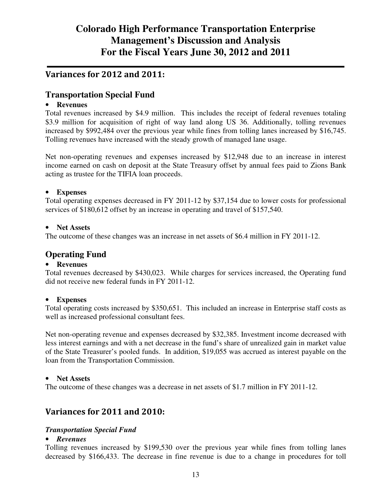## Variances for 2012 and 2011:

## **Transportation Special Fund**

### • **Revenues**

Total revenues increased by \$4.9 million. This includes the receipt of federal revenues totaling \$3.9 million for acquisition of right of way land along US 36. Additionally, tolling revenues increased by \$992,484 over the previous year while fines from tolling lanes increased by \$16,745. Tolling revenues have increased with the steady growth of managed lane usage.

Net non-operating revenues and expenses increased by \$12,948 due to an increase in interest income earned on cash on deposit at the State Treasury offset by annual fees paid to Zions Bank acting as trustee for the TIFIA loan proceeds.

### • **Expenses**

Total operating expenses decreased in FY 2011-12 by \$37,154 due to lower costs for professional services of \$180,612 offset by an increase in operating and travel of \$157,540.

### • **Net Assets**

The outcome of these changes was an increase in net assets of \$6.4 million in FY 2011-12.

### **Operating Fund**

### • **Revenues**

Total revenues decreased by \$430,023. While charges for services increased, the Operating fund did not receive new federal funds in FY 2011-12.

#### • **Expenses**

Total operating costs increased by \$350,651. This included an increase in Enterprise staff costs as well as increased professional consultant fees.

Net non-operating revenue and expenses decreased by \$32,385. Investment income decreased with less interest earnings and with a net decrease in the fund's share of unrealized gain in market value of the State Treasurer's pooled funds. In addition, \$19,055 was accrued as interest payable on the loan from the Transportation Commission.

#### • **Net Assets**

The outcome of these changes was a decrease in net assets of \$1.7 million in FY 2011-12.

### Variances for 2011 and 2010:

### *Transportation Special Fund*

#### • *Revenues*

Tolling revenues increased by \$199,530 over the previous year while fines from tolling lanes decreased by \$166,433. The decrease in fine revenue is due to a change in procedures for toll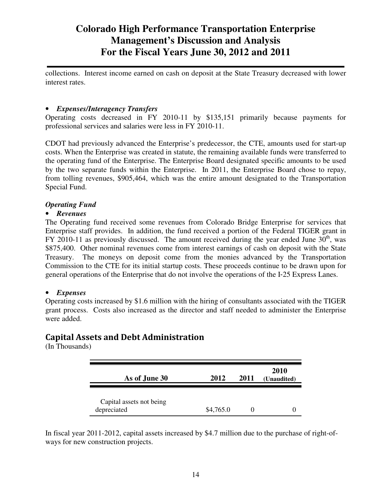collections. Interest income earned on cash on deposit at the State Treasury decreased with lower interest rates.

### • *Expenses/Interagency Transfers*

Operating costs decreased in FY 2010-11 by \$135,151 primarily because payments for professional services and salaries were less in FY 2010-11.

CDOT had previously advanced the Enterprise's predecessor, the CTE, amounts used for start-up costs. When the Enterprise was created in statute, the remaining available funds were transferred to the operating fund of the Enterprise. The Enterprise Board designated specific amounts to be used by the two separate funds within the Enterprise. In 2011, the Enterprise Board chose to repay, from tolling revenues, \$905,464, which was the entire amount designated to the Transportation Special Fund.

### *Operating Fund*

### • *Revenues*

The Operating fund received some revenues from Colorado Bridge Enterprise for services that Enterprise staff provides. In addition, the fund received a portion of the Federal TIGER grant in FY 2010-11 as previously discussed. The amount received during the year ended June  $30<sup>th</sup>$ , was \$875,400. Other nominal revenues come from interest earnings of cash on deposit with the State Treasury. The moneys on deposit come from the monies advanced by the Transportation Commission to the CTE for its initial startup costs. These proceeds continue to be drawn upon for general operations of the Enterprise that do not involve the operations of the I‐25 Express Lanes.

### • *Expenses*

Operating costs increased by \$1.6 million with the hiring of consultants associated with the TIGER grant process. Costs also increased as the director and staff needed to administer the Enterprise were added.

### Capital Assets and Debt Administration

(In Thousands)

| As of June 30                           | 2012      | 2011 | <b>2010</b><br>(Unaudited) |
|-----------------------------------------|-----------|------|----------------------------|
| Capital assets not being<br>depreciated | \$4,765.0 |      |                            |

In fiscal year 2011-2012, capital assets increased by \$4.7 million due to the purchase of right-ofways for new construction projects.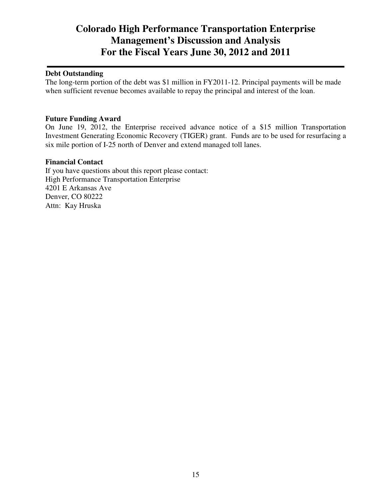### **Debt Outstanding**

The long-term portion of the debt was \$1 million in FY2011-12. Principal payments will be made when sufficient revenue becomes available to repay the principal and interest of the loan.

#### **Future Funding Award**

On June 19, 2012, the Enterprise received advance notice of a \$15 million Transportation Investment Generating Economic Recovery (TIGER) grant. Funds are to be used for resurfacing a six mile portion of I-25 north of Denver and extend managed toll lanes.

#### **Financial Contact**

If you have questions about this report please contact: High Performance Transportation Enterprise 4201 E Arkansas Ave Denver, CO 80222 Attn: Kay Hruska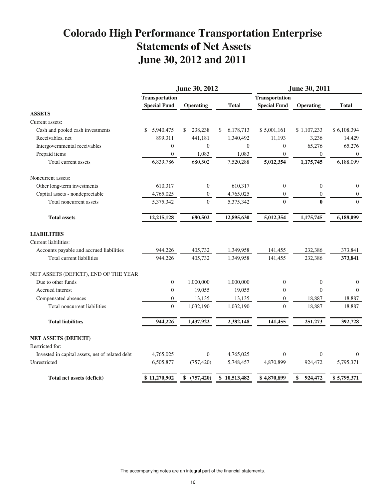# **Colorado High Performance Transportation Enterprise Statements of Net Assets June 30, 2012 and 2011**

|                                                 |                       | June 30, 2012    |                 | June 30, 2011         |                  |                |
|-------------------------------------------------|-----------------------|------------------|-----------------|-----------------------|------------------|----------------|
|                                                 | <b>Transportation</b> |                  |                 | <b>Transportation</b> |                  |                |
|                                                 | <b>Special Fund</b>   | <b>Operating</b> | <b>Total</b>    | <b>Special Fund</b>   | <b>Operating</b> | <b>Total</b>   |
| <b>ASSETS</b>                                   |                       |                  |                 |                       |                  |                |
| Current assets:                                 |                       |                  |                 |                       |                  |                |
| Cash and pooled cash investments                | 5,940,475<br>\$       | 238,238<br>\$    | 6,178,713<br>\$ | \$5,001,161           | \$1,107,233      | \$6,108,394    |
| Receivables, net                                | 899,311               | 441,181          | 1,340,492       | 11,193                | 3,236            | 14,429         |
| Intergovernmental receivables                   | $\boldsymbol{0}$      | $\boldsymbol{0}$ | $\overline{0}$  | $\boldsymbol{0}$      | 65,276           | 65,276         |
| Prepaid items                                   | $\overline{0}$        | 1,083            | 1,083           | $\overline{0}$        | $\overline{0}$   | $\overline{0}$ |
| Total current assets                            | 6,839,786             | 680,502          | 7,520,288       | 5,012,354             | 1,175,745        | 6,188,099      |
| Noncurrent assets:                              |                       |                  |                 |                       |                  |                |
| Other long-term investments                     | 610,317               | $\boldsymbol{0}$ | 610,317         | $\boldsymbol{0}$      | $\overline{0}$   | $\theta$       |
| Capital assets - nondepreciable                 | 4,765,025             | $\boldsymbol{0}$ | 4,765,025       | $\mathbf{0}$          | $\boldsymbol{0}$ | $\mathbf{0}$   |
| Total noncurrent assets                         | 5,375,342             | $\boldsymbol{0}$ | 5,375,342       | $\bf{0}$              | $\bf{0}$         | $\theta$       |
| <b>Total assets</b>                             | 12,215,128            | 680,502          | 12,895,630      | 5,012,354             | 1,175,745        | 6,188,099      |
| <b>LIABILITIES</b>                              |                       |                  |                 |                       |                  |                |
| Current liabilities:                            |                       |                  |                 |                       |                  |                |
| Accounts payable and accrued liabilities        | 944,226               | 405,732          | 1,349,958       | 141,455               | 232,386          | 373,841        |
| Total current liabilities                       | 944,226               | 405,732          | 1,349,958       | 141,455               | 232,386          | 373,841        |
| NET ASSETS (DEFICIT), END OF THE YEAR           |                       |                  |                 |                       |                  |                |
| Due to other funds                              | $\overline{0}$        | 1,000,000        | 1,000,000       | $\boldsymbol{0}$      | $\overline{0}$   | $\mathbf{0}$   |
| Accrued interest                                | $\boldsymbol{0}$      | 19,055           | 19,055          | $\boldsymbol{0}$      | $\theta$         | $\Omega$       |
| Compensated absences                            | $\boldsymbol{0}$      | 13,135           | 13,135          | $\boldsymbol{0}$      | 18,887           | 18,887         |
| Total noncurrent liabilities                    | $\overline{0}$        | 1,032,190        | 1,032,190       | $\overline{0}$        | 18,887           | 18,887         |
| <b>Total liabilities</b>                        | 944,226               | 1,437,922        | 2,382,148       | 141,455               | 251,273          | 392,728        |
| <b>NET ASSETS (DEFICIT)</b>                     |                       |                  |                 |                       |                  |                |
| Restricted for:                                 |                       |                  |                 |                       |                  |                |
| Invested in capital assets, net of related debt | 4,765,025             | $\theta$         | 4,765,025       | $\overline{0}$        | $\overline{0}$   | $\Omega$       |
| Unrestricted                                    | 6,505,877             | (757, 420)       | 5,748,457       | 4,870,899             | 924,472          | 5,795,371      |
| Total net assets (deficit)                      | \$11,270,902          | \$ (757,420)     | \$10,513,482    | \$4,870,899           | 924,472<br>\$    | \$5,795,371    |

The accompanying notes are an integral part of the financial statements.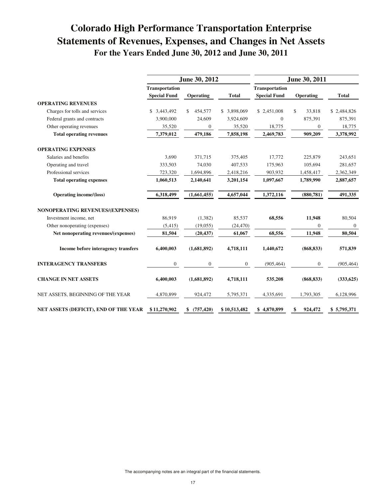# **Colorado High Performance Transportation Enterprise Statements of Revenues, Expenses, and Changes in Net Assets For the Years Ended June 30, 2012 and June 30, 2011**

|                                       |                                       | June 30, 2012    |                |                                              | June 30, 2011  |                |
|---------------------------------------|---------------------------------------|------------------|----------------|----------------------------------------------|----------------|----------------|
|                                       | Transportation<br><b>Special Fund</b> | Operating        | <b>Total</b>   | <b>Transportation</b><br><b>Special Fund</b> | Operating      | <b>Total</b>   |
| <b>OPERATING REVENUES</b>             |                                       |                  |                |                                              |                |                |
| Charges for tolls and services        | 3.443.492<br>\$                       | 454,577<br>\$    | \$ 3,898,069   | \$2,451,008                                  | \$<br>33.818   | \$2,484,826    |
| Federal grants and contracts          | 3,900,000                             | 24,609           | 3,924,609      | $\mathbf{0}$                                 | 875,391        | 875,391        |
| Other operating revenues              | 35,520                                | $\mathbf{0}$     | 35,520         | 18,775                                       | 0              | 18,775         |
| <b>Total operating revenues</b>       | 7,379,012                             | 479,186          | 7,858,198      | 2,469,783                                    | 909,209        | 3,378,992      |
| <b>OPERATING EXPENSES</b>             |                                       |                  |                |                                              |                |                |
| Salaries and benefits                 | 3,690                                 | 371,715          | 375,405        | 17,772                                       | 225,879        | 243,651        |
| Operating and travel                  | 333,503                               | 74,030           | 407,533        | 175,963                                      | 105.694        | 281,657        |
| Professional services                 | 723,320                               | 1,694,896        | 2,418,216      | 903,932                                      | 1,458,417      | 2,362,349      |
| <b>Total operating expenses</b>       | 1,060,513                             | 2,140,641        | 3,201,154      | 1,097,667                                    | 1,789,990      | 2,887,657      |
| <b>Operating income/(loss)</b>        | 6,318,499                             | (1,661,455)      | 4,657,044      | 1,372,116                                    | (880, 781)     | 491,335        |
| NONOPERATING REVENUES/(EXPENSES)      |                                       |                  |                |                                              |                |                |
| Investment income, net                | 86,919                                | (1, 382)         | 85,537         | 68,556                                       | 11,948         | 80,504         |
| Other nonoperating (expenses)         | (5,415)                               | (19,055)         | (24, 470)      |                                              | $\overline{0}$ | $\overline{0}$ |
| Net nonoperating revenues/(expenses)  | 81,504                                | (20, 437)        | 61,067         | 68,556                                       | 11,948         | 80,504         |
| Income before interagency transfers   | 6,400,003                             | (1,681,892)      | 4,718,111      | 1,440,672                                    | (868, 833)     | 571,839        |
| <b>INTERAGENCY TRANSFERS</b>          | $\mathbf{0}$                          | $\overline{0}$   | $\overline{0}$ | (905, 464)                                   | 0              | (905, 464)     |
| <b>CHANGE IN NET ASSETS</b>           | 6,400,003                             | (1,681,892)      | 4,718,111      | 535,208                                      | (868, 833)     | (333, 625)     |
| NET ASSETS, BEGINNING OF THE YEAR     | 4,870,899                             | 924,472          | 5,795,371      | 4,335,691                                    | 1,793,305      | 6,128,996      |
| NET ASSETS (DEFICIT), END OF THE YEAR | \$11,270,902                          | (757, 420)<br>\$ | \$10,513,482   | \$4,870,899                                  | 924,472        | \$5,795,371    |

The accompanying notes are an integral part of the financial statements.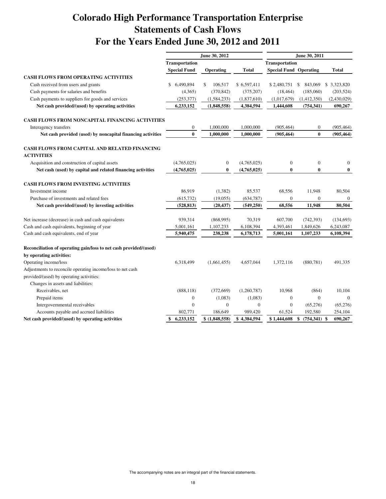# **Colorado High Performance Transportation Enterprise Statements of Cash Flows For the Years Ended June 30, 2012 and 2011**

|                                                                                                        | June 30, 2012         |                  |                  | June 30, 2011                 |                  |                |  |
|--------------------------------------------------------------------------------------------------------|-----------------------|------------------|------------------|-------------------------------|------------------|----------------|--|
|                                                                                                        | <b>Transportation</b> |                  |                  | <b>Transportation</b>         |                  |                |  |
|                                                                                                        | <b>Special Fund</b>   | Operating        | <b>Total</b>     | <b>Special Fund Operating</b> |                  | Total          |  |
| <b>CASH FLOWS FROM OPERATING ACTIVITIES</b>                                                            |                       |                  |                  |                               |                  |                |  |
| Cash received from users and grants                                                                    | 6,490,894<br>\$       | \$<br>106,517    | \$6,597,411      | \$2,480,751                   | \$<br>843,069    | \$ 3,323,820   |  |
| Cash payments for salaries and benefits                                                                | (4,365)               | (370, 842)       | (375, 207)       | (18, 464)                     | (185,060)        | (203, 524)     |  |
| Cash payments to suppliers for goods and services                                                      | (253, 377)            | (1, 584, 233)    | (1,837,610)      | (1,017,679)                   | (1,412,350)      | (2,430,029)    |  |
| Net cash provided/(used) by operating activities                                                       | 6,233,152             | (1,848,558)      | 4,384,594        | 1,444,608                     | (754, 341)       | 690,267        |  |
| CASH FLOWS FROM NONCAPITAL FINANCING ACTIVITIES                                                        |                       |                  |                  |                               |                  |                |  |
| Interagency transfers                                                                                  | $\boldsymbol{0}$      | 1,000,000        | 1,000,000        | (905, 464)                    | 0                | (905, 464)     |  |
| Net cash provided (used) by noncapital financing activities                                            | $\bf{0}$              | 1,000,000        | 1,000,000        | (905, 464)                    | $\bf{0}$         | (905, 464)     |  |
| CASH FLOWS FROM CAPITAL AND RELATED FINANCING<br><b>ACTIVITIES</b>                                     |                       |                  |                  |                               |                  |                |  |
| Acquisition and construction of capital assets                                                         | (4,765,025)           | $\boldsymbol{0}$ | (4,765,025)      | $\mathbf{0}$                  | $\boldsymbol{0}$ | $\overline{0}$ |  |
| Net cash (used) by capital and related financing activities                                            | (4,765,025)           | $\bf{0}$         | (4,765,025)      | 0                             | $\bf{0}$         | $\bf{0}$       |  |
| <b>CASH FLOWS FROM INVESTING ACTIVITIES</b>                                                            |                       |                  |                  |                               |                  |                |  |
| Investment income                                                                                      | 86,919                | (1,382)          | 85,537           | 68,556                        | 11,948           | 80,504         |  |
| Purchase of investments and related fees                                                               | (615, 732)            | (19,055)         | (634, 787)       | $\mathbf{0}$                  | $\boldsymbol{0}$ | $\mathbf{0}$   |  |
| Net cash provided/(used) by investing activities                                                       | (528, 813)            | (20, 437)        | (549, 250)       | 68,556                        | 11,948           | 80,504         |  |
| Net increase (decrease) in cash and cash equivalents                                                   | 939,314               | (868,995)        | 70,319           | 607,700                       | (742, 393)       | (134, 693)     |  |
| Cash and cash equivalents, beginning of year                                                           | 5,001,161             | 1,107,233        | 6,108,394        | 4,393,461                     | 1,849,626        | 6,243,087      |  |
| Cash and cash equivalents, end of year                                                                 | 5,940,475             | 238,238          | 6,178,713        | 5,001,161                     | 1,107,233        | 6,108,394      |  |
| Reconciliation of operating gain/loss to net cash provided/(used)                                      |                       |                  |                  |                               |                  |                |  |
| by operating activities:                                                                               |                       |                  |                  |                               |                  |                |  |
| Operating income/loss                                                                                  | 6,318,499             | (1,661,455)      | 4,657,044        | 1,372,116                     | (880, 781)       | 491,335        |  |
| Adjustments to reconcile operating income/loss to net cash<br>provided/(used) by operating activities: |                       |                  |                  |                               |                  |                |  |
| Changes in assets and liabilities:                                                                     |                       |                  |                  |                               |                  |                |  |
|                                                                                                        |                       |                  |                  |                               |                  |                |  |
| Receivables, net                                                                                       | (888, 118)            | (372,669)        | (1,260,787)      | 10,968                        | (864)            | 10,104         |  |
| Prepaid items                                                                                          | $\boldsymbol{0}$      | (1,083)          | (1,083)          | $\boldsymbol{0}$              | $\overline{0}$   | $\overline{0}$ |  |
| Intergovernmental receivables                                                                          | $\overline{0}$        | $\boldsymbol{0}$ | $\boldsymbol{0}$ | $\boldsymbol{0}$              | (65, 276)        | (65, 276)      |  |
| Accounts payable and accrued liabilities                                                               | 802,771               | 186,649          | 989,420          | 61,524                        | 192,580          | 254,104        |  |
| Net cash provided/(used) by operating activities                                                       | \$<br>6,233,152       | \$ (1,848,558)   | \$4,384,594      | \$1,444,608                   | \$<br>(754, 341) | \$<br>690,267  |  |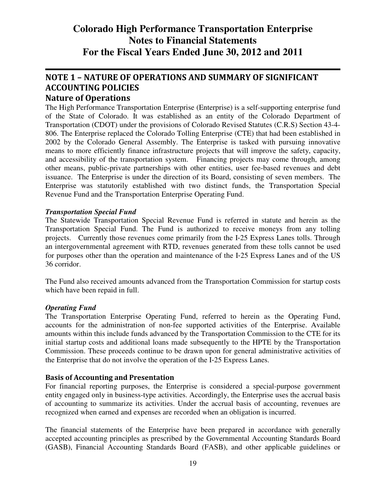# NOTE 1 – NATURE OF OPERATIONS AND SUMMARY OF SIGNIFICANT ACCOUNTING POLICIES

### Nature of Operations

The High Performance Transportation Enterprise (Enterprise) is a self-supporting enterprise fund of the State of Colorado. It was established as an entity of the Colorado Department of Transportation (CDOT) under the provisions of Colorado Revised Statutes (C.R.S) Section 43-4- 806. The Enterprise replaced the Colorado Tolling Enterprise (CTE) that had been established in 2002 by the Colorado General Assembly. The Enterprise is tasked with pursuing innovative means to more efficiently finance infrastructure projects that will improve the safety, capacity, and accessibility of the transportation system. Financing projects may come through, among other means, public-private partnerships with other entities, user fee-based revenues and debt issuance. The Enterprise is under the direction of its Board, consisting of seven members. The Enterprise was statutorily established with two distinct funds, the Transportation Special Revenue Fund and the Transportation Enterprise Operating Fund.

### *Transportation Special Fund*

The Statewide Transportation Special Revenue Fund is referred in statute and herein as the Transportation Special Fund. The Fund is authorized to receive moneys from any tolling projects. Currently those revenues come primarily from the I‐25 Express Lanes tolls. Through an intergovernmental agreement with RTD, revenues generated from these tolls cannot be used for purposes other than the operation and maintenance of the I‐25 Express Lanes and of the US 36 corridor.

The Fund also received amounts advanced from the Transportation Commission for startup costs which have been repaid in full.

#### *Operating Fund*

The Transportation Enterprise Operating Fund, referred to herein as the Operating Fund, accounts for the administration of non-fee supported activities of the Enterprise. Available amounts within this include funds advanced by the Transportation Commission to the CTE for its initial startup costs and additional loans made subsequently to the HPTE by the Transportation Commission. These proceeds continue to be drawn upon for general administrative activities of the Enterprise that do not involve the operation of the I‐25 Express Lanes.

### Basis of Accounting and Presentation

For financial reporting purposes, the Enterprise is considered a special-purpose government entity engaged only in business-type activities. Accordingly, the Enterprise uses the accrual basis of accounting to summarize its activities. Under the accrual basis of accounting, revenues are recognized when earned and expenses are recorded when an obligation is incurred.

The financial statements of the Enterprise have been prepared in accordance with generally accepted accounting principles as prescribed by the Governmental Accounting Standards Board (GASB), Financial Accounting Standards Board (FASB), and other applicable guidelines or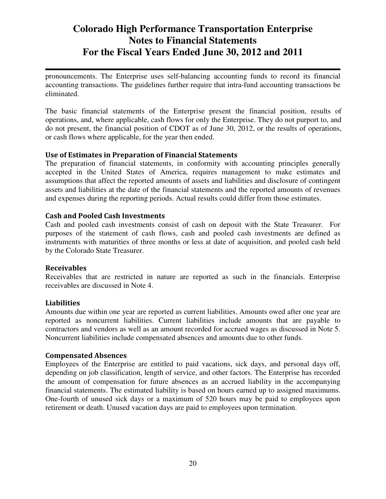pronouncements. The Enterprise uses self-balancing accounting funds to record its financial accounting transactions. The guidelines further require that intra-fund accounting transactions be eliminated.

The basic financial statements of the Enterprise present the financial position, results of operations, and, where applicable, cash flows for only the Enterprise. They do not purport to, and do not present, the financial position of CDOT as of June 30, 2012, or the results of operations, or cash flows where applicable, for the year then ended.

### Use of Estimates in Preparation of Financial Statements

The preparation of financial statements, in conformity with accounting principles generally accepted in the United States of America, requires management to make estimates and assumptions that affect the reported amounts of assets and liabilities and disclosure of contingent assets and liabilities at the date of the financial statements and the reported amounts of revenues and expenses during the reporting periods. Actual results could differ from those estimates.

### Cash and Pooled Cash Investments

Cash and pooled cash investments consist of cash on deposit with the State Treasurer. For purposes of the statement of cash flows, cash and pooled cash investments are defined as instruments with maturities of three months or less at date of acquisition, and pooled cash held by the Colorado State Treasurer.

#### Receivables

Receivables that are restricted in nature are reported as such in the financials. Enterprise receivables are discussed in Note 4.

#### Liabilities

Amounts due within one year are reported as current liabilities. Amounts owed after one year are reported as noncurrent liabilities. Current liabilities include amounts that are payable to contractors and vendors as well as an amount recorded for accrued wages as discussed in Note 5. Noncurrent liabilities include compensated absences and amounts due to other funds.

#### Compensated Absences

Employees of the Enterprise are entitled to paid vacations, sick days, and personal days off, depending on job classification, length of service, and other factors. The Enterprise has recorded the amount of compensation for future absences as an accrued liability in the accompanying financial statements. The estimated liability is based on hours earned up to assigned maximums. One-fourth of unused sick days or a maximum of 520 hours may be paid to employees upon retirement or death. Unused vacation days are paid to employees upon termination.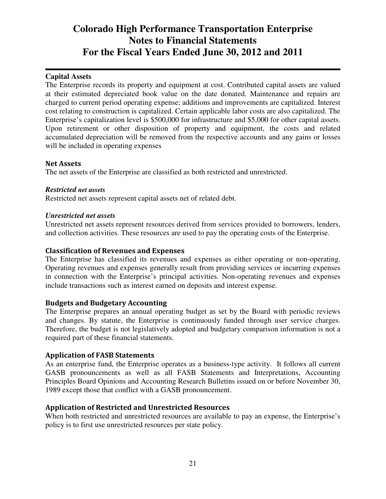### **Capital Assets**

The Enterprise records its property and equipment at cost. Contributed capital assets are valued at their estimated depreciated book value on the date donated. Maintenance and repairs are charged to current period operating expense; additions and improvements are capitalized. Interest cost relating to construction is capitalized. Certain applicable labor costs are also capitalized. The Enterprise's capitalization level is \$500,000 for infrastructure and \$5,000 for other capital assets. Upon retirement or other disposition of property and equipment, the costs and related accumulated depreciation will be removed from the respective accounts and any gains or losses will be included in operating expenses

#### Net Assets

The net assets of the Enterprise are classified as both restricted and unrestricted.

#### *Restricted net assets*

Restricted net assets represent capital assets net of related debt.

### *Unrestricted net assets*

Unrestricted net assets represent resources derived from services provided to borrowers, lenders, and collection activities. These resources are used to pay the operating costs of the Enterprise.

### Classification of Revenues and Expenses

The Enterprise has classified its revenues and expenses as either operating or non-operating. Operating revenues and expenses generally result from providing services or incurring expenses in connection with the Enterprise's principal activities. Non-operating revenues and expenses include transactions such as interest earned on deposits and interest expense.

#### Budgets and Budgetary Accounting

The Enterprise prepares an annual operating budget as set by the Board with periodic reviews and changes. By statute, the Enterprise is continuously funded through user service charges. Therefore, the budget is not legislatively adopted and budgetary comparison information is not a required part of these financial statements.

### Application of FASB Statements

As an enterprise fund, the Enterprise operates as a business-type activity. It follows all current GASB pronouncements as well as all FASB Statements and Interpretations, Accounting Principles Board Opinions and Accounting Research Bulletins issued on or before November 30, 1989 except those that conflict with a GASB pronouncement.

### Application of Restricted and Unrestricted Resources

When both restricted and unrestricted resources are available to pay an expense, the Enterprise's policy is to first use unrestricted resources per state policy.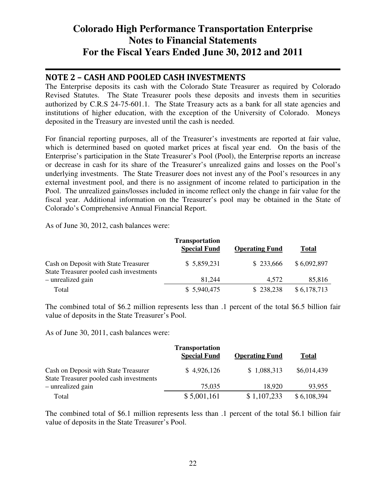### NOTE 2 – CASH AND POOLED CASH INVESTMENTS

The Enterprise deposits its cash with the Colorado State Treasurer as required by Colorado Revised Statutes. The State Treasurer pools these deposits and invests them in securities authorized by C.R.S 24-75-601.1. The State Treasury acts as a bank for all state agencies and institutions of higher education, with the exception of the University of Colorado. Moneys deposited in the Treasury are invested until the cash is needed.

For financial reporting purposes, all of the Treasurer's investments are reported at fair value, which is determined based on quoted market prices at fiscal year end. On the basis of the Enterprise's participation in the State Treasurer's Pool (Pool), the Enterprise reports an increase or decrease in cash for its share of the Treasurer's unrealized gains and losses on the Pool's underlying investments. The State Treasurer does not invest any of the Pool's resources in any external investment pool, and there is no assignment of income related to participation in the Pool. The unrealized gains/losses included in income reflect only the change in fair value for the fiscal year. Additional information on the Treasurer's pool may be obtained in the State of Colorado's Comprehensive Annual Financial Report.

As of June 30, 2012, cash balances were:

|                                                                                 | <b>Transportation</b><br><b>Special Fund</b> | <b>Operating Fund</b> | <b>Total</b> |
|---------------------------------------------------------------------------------|----------------------------------------------|-----------------------|--------------|
| Cash on Deposit with State Treasurer<br>State Treasurer pooled cash investments | \$5,859,231                                  | \$233,666             | \$6,092,897  |
| - unrealized gain                                                               | 81.244                                       | 4.572                 | 85,816       |
| Total                                                                           | \$5,940,475                                  | \$238,238             | \$6,178,713  |

The combined total of \$6.2 million represents less than .1 percent of the total \$6.5 billion fair value of deposits in the State Treasurer's Pool.

As of June 30, 2011, cash balances were:

|                                                                                 | <b>Transportation</b><br><b>Special Fund</b> | <b>Operating Fund</b> | <b>Total</b> |
|---------------------------------------------------------------------------------|----------------------------------------------|-----------------------|--------------|
| Cash on Deposit with State Treasurer<br>State Treasurer pooled cash investments | \$4,926,126                                  | \$1,088,313           | \$6,014,439  |
| - unrealized gain                                                               | 75,035                                       | 18,920                | 93,955       |
| Total                                                                           | \$5,001,161                                  | \$1,107,233           | \$6,108,394  |

The combined total of \$6.1 million represents less than .1 percent of the total \$6.1 billion fair value of deposits in the State Treasurer's Pool.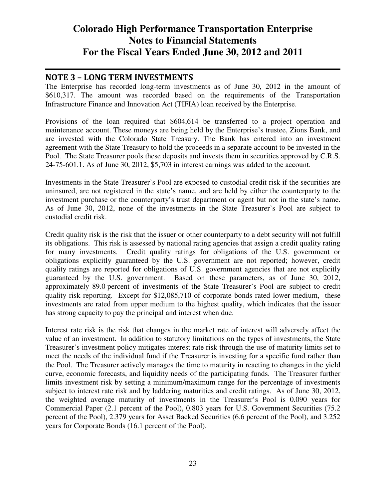### NOTE 3 – LONG TERM INVESTMENTS

The Enterprise has recorded long-term investments as of June 30, 2012 in the amount of \$610,317. The amount was recorded based on the requirements of the Transportation Infrastructure Finance and Innovation Act (TIFIA) loan received by the Enterprise.

Provisions of the loan required that \$604,614 be transferred to a project operation and maintenance account. These moneys are being held by the Enterprise's trustee, Zions Bank, and are invested with the Colorado State Treasury. The Bank has entered into an investment agreement with the State Treasury to hold the proceeds in a separate account to be invested in the Pool. The State Treasurer pools these deposits and invests them in securities approved by C.R.S. 24-75-601.1. As of June 30, 2012, \$5,703 in interest earnings was added to the account.

Investments in the State Treasurer's Pool are exposed to custodial credit risk if the securities are uninsured, are not registered in the state's name, and are held by either the counterparty to the investment purchase or the counterparty's trust department or agent but not in the state's name. As of June 30, 2012, none of the investments in the State Treasurer's Pool are subject to custodial credit risk.

Credit quality risk is the risk that the issuer or other counterparty to a debt security will not fulfill its obligations. This risk is assessed by national rating agencies that assign a credit quality rating for many investments. Credit quality ratings for obligations of the U.S. government or obligations explicitly guaranteed by the U.S. government are not reported; however, credit quality ratings are reported for obligations of U.S. government agencies that are not explicitly guaranteed by the U.S. government. Based on these parameters, as of June 30, 2012, approximately 89.0 percent of investments of the State Treasurer's Pool are subject to credit quality risk reporting. Except for \$12,085,710 of corporate bonds rated lower medium, these investments are rated from upper medium to the highest quality, which indicates that the issuer has strong capacity to pay the principal and interest when due.

Interest rate risk is the risk that changes in the market rate of interest will adversely affect the value of an investment. In addition to statutory limitations on the types of investments, the State Treasurer's investment policy mitigates interest rate risk through the use of maturity limits set to meet the needs of the individual fund if the Treasurer is investing for a specific fund rather than the Pool. The Treasurer actively manages the time to maturity in reacting to changes in the yield curve, economic forecasts, and liquidity needs of the participating funds. The Treasurer further limits investment risk by setting a minimum/maximum range for the percentage of investments subject to interest rate risk and by laddering maturities and credit ratings. As of June 30, 2012, the weighted average maturity of investments in the Treasurer's Pool is 0.090 years for Commercial Paper (2.1 percent of the Pool), 0.803 years for U.S. Government Securities (75.2 percent of the Pool), 2.379 years for Asset Backed Securities (6.6 percent of the Pool), and 3.252 years for Corporate Bonds (16.1 percent of the Pool).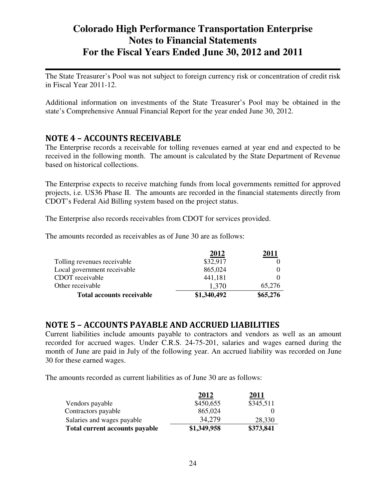The State Treasurer's Pool was not subject to foreign currency risk or concentration of credit risk in Fiscal Year 2011-12.

Additional information on investments of the State Treasurer's Pool may be obtained in the state's Comprehensive Annual Financial Report for the year ended June 30, 2012.

### NOTE 4 – ACCOUNTS RECEIVABLE

The Enterprise records a receivable for tolling revenues earned at year end and expected to be received in the following month. The amount is calculated by the State Department of Revenue based on historical collections.

The Enterprise expects to receive matching funds from local governments remitted for approved projects, i.e. US36 Phase II. The amounts are recorded in the financial statements directly from CDOT's Federal Aid Billing system based on the project status.

The Enterprise also records receivables from CDOT for services provided.

The amounts recorded as receivables as of June 30 are as follows:

|                                  | 2012<br>\$32,917 |          |
|----------------------------------|------------------|----------|
| Tolling revenues receivable      |                  |          |
| Local government receivable      | 865,024          |          |
| CDOT receivable                  | 441,181          |          |
| Other receivable                 | 1.370            | 65.276   |
| <b>Total accounts receivable</b> | \$1,340,492      | \$65,276 |

### NOTE 5 – ACCOUNTS PAYABLE AND ACCRUED LIABILITIES

Current liabilities include amounts payable to contractors and vendors as well as an amount recorded for accrued wages. Under C.R.S. 24-75-201, salaries and wages earned during the month of June are paid in July of the following year. An accrued liability was recorded on June 30 for these earned wages.

The amounts recorded as current liabilities as of June 30 are as follows:

|                                       | 2012        | 2011      |
|---------------------------------------|-------------|-----------|
| Vendors payable                       | \$450,655   | \$345,511 |
| Contractors payable                   | 865,024     |           |
| Salaries and wages payable            | 34,279      | 28,330    |
| <b>Total current accounts payable</b> | \$1,349,958 | \$373,841 |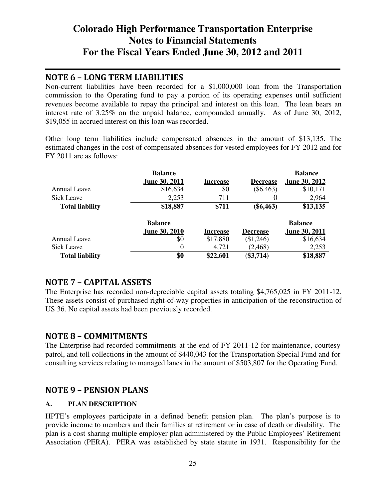### NOTE 6 – LONG TERM LIABILITIES

Non-current liabilities have been recorded for a \$1,000,000 loan from the Transportation commission to the Operating fund to pay a portion of its operating expenses until sufficient revenues become available to repay the principal and interest on this loan. The loan bears an interest rate of 3.25% on the unpaid balance, compounded annually. As of June 30, 2012, \$19,055 in accrued interest on this loan was recorded.

Other long term liabilities include compensated absences in the amount of \$13,135. The estimated changes in the cost of compensated absences for vested employees for FY 2012 and for FY 2011 are as follows:

|                        | <b>Balance</b>       |                 |                  | <b>Balance</b>       |
|------------------------|----------------------|-----------------|------------------|----------------------|
|                        | <b>June 30, 2011</b> | <b>Increase</b> | <b>Decrease</b>  | <b>June 30, 2012</b> |
| Annual Leave           | \$16,634             | \$0             | $(\$6,463)$      | \$10,171             |
| <b>Sick Leave</b>      | 2,253                | 711             | $\boldsymbol{0}$ | 2,964                |
| <b>Total liability</b> | \$18,887             | \$711           | $(\$6,463)$      | \$13,135             |
|                        | <b>Balance</b>       |                 |                  | <b>Balance</b>       |
|                        | <b>June 30, 2010</b> | Increase        | <b>Decrease</b>  | <b>June 30, 2011</b> |
| Annual Leave           | \$0                  | \$17,880        | (\$1,246)        | \$16,634             |
| Sick Leave             | $\theta$             | 4,721           | (2, 468)         | 2,253                |
| <b>Total liability</b> | \$0                  | \$22,601        | $(\$3,714)$      | \$18,887             |

### NOTE 7 – CAPITAL ASSETS

The Enterprise has recorded non-depreciable capital assets totaling \$4,765,025 in FY 2011-12. These assets consist of purchased right-of-way properties in anticipation of the reconstruction of US 36. No capital assets had been previously recorded.

### NOTE 8 – COMMITMENTS

The Enterprise had recorded commitments at the end of FY 2011-12 for maintenance, courtesy patrol, and toll collections in the amount of \$440,043 for the Transportation Special Fund and for consulting services relating to managed lanes in the amount of \$503,807 for the Operating Fund.

### NOTE 9 – PENSION PLANS

### **A. PLAN DESCRIPTION**

HPTE's employees participate in a defined benefit pension plan. The plan's purpose is to provide income to members and their families at retirement or in case of death or disability. The plan is a cost sharing multiple employer plan administered by the Public Employees' Retirement Association (PERA). PERA was established by state statute in 1931. Responsibility for the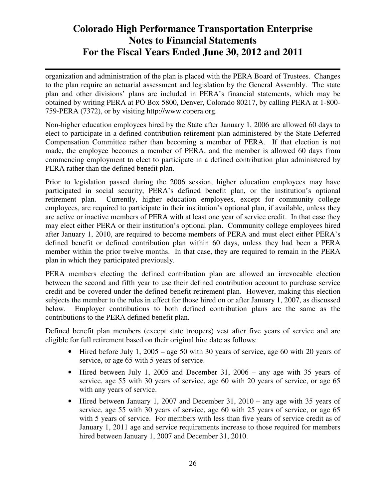organization and administration of the plan is placed with the PERA Board of Trustees. Changes to the plan require an actuarial assessment and legislation by the General Assembly. The state plan and other divisions' plans are included in PERA's financial statements, which may be obtained by writing PERA at PO Box 5800, Denver, Colorado 80217, by calling PERA at 1-800- 759-PERA (7372), or by visiting http://www.copera.org.

Non-higher education employees hired by the State after January 1, 2006 are allowed 60 days to elect to participate in a defined contribution retirement plan administered by the State Deferred Compensation Committee rather than becoming a member of PERA. If that election is not made, the employee becomes a member of PERA, and the member is allowed 60 days from commencing employment to elect to participate in a defined contribution plan administered by PERA rather than the defined benefit plan.

Prior to legislation passed during the 2006 session, higher education employees may have participated in social security, PERA's defined benefit plan, or the institution's optional retirement plan. Currently, higher education employees, except for community college employees, are required to participate in their institution's optional plan, if available, unless they are active or inactive members of PERA with at least one year of service credit. In that case they may elect either PERA or their institution's optional plan. Community college employees hired after January 1, 2010, are required to become members of PERA and must elect either PERA's defined benefit or defined contribution plan within 60 days, unless they had been a PERA member within the prior twelve months. In that case, they are required to remain in the PERA plan in which they participated previously.

PERA members electing the defined contribution plan are allowed an irrevocable election between the second and fifth year to use their defined contribution account to purchase service credit and be covered under the defined benefit retirement plan. However, making this election subjects the member to the rules in effect for those hired on or after January 1, 2007, as discussed below. Employer contributions to both defined contribution plans are the same as the contributions to the PERA defined benefit plan.

Defined benefit plan members (except state troopers) vest after five years of service and are eligible for full retirement based on their original hire date as follows:

- Hired before July 1, 2005 age 50 with 30 years of service, age 60 with 20 years of service, or age 65 with 5 years of service.
- Hired between July 1, 2005 and December 31, 2006 any age with 35 years of service, age 55 with 30 years of service, age 60 with 20 years of service, or age 65 with any years of service.
- Hired between January 1, 2007 and December 31, 2010 any age with 35 years of service, age 55 with 30 years of service, age 60 with 25 years of service, or age 65 with 5 years of service. For members with less than five years of service credit as of January 1, 2011 age and service requirements increase to those required for members hired between January 1, 2007 and December 31, 2010.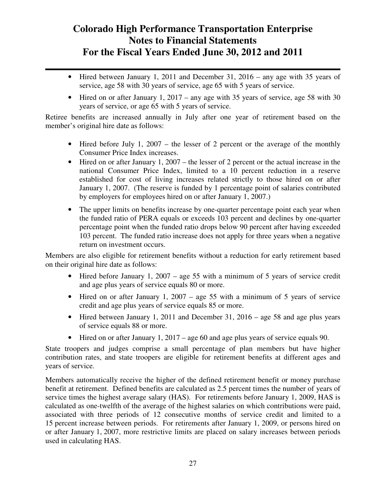- Hired between January 1, 2011 and December 31, 2016 any age with 35 years of service, age 58 with 30 years of service, age 65 with 5 years of service.
- Hired on or after January 1, 2017 any age with 35 years of service, age 58 with 30 years of service, or age 65 with 5 years of service.

Retiree benefits are increased annually in July after one year of retirement based on the member's original hire date as follows:

- Hired before July 1, 2007 the lesser of 2 percent or the average of the monthly Consumer Price Index increases.
- Hired on or after January 1, 2007 the lesser of 2 percent or the actual increase in the national Consumer Price Index, limited to a 10 percent reduction in a reserve established for cost of living increases related strictly to those hired on or after January 1, 2007. (The reserve is funded by 1 percentage point of salaries contributed by employers for employees hired on or after January 1, 2007.)
- The upper limits on benefits increase by one-quarter percentage point each year when the funded ratio of PERA equals or exceeds 103 percent and declines by one-quarter percentage point when the funded ratio drops below 90 percent after having exceeded 103 percent. The funded ratio increase does not apply for three years when a negative return on investment occurs.

Members are also eligible for retirement benefits without a reduction for early retirement based on their original hire date as follows:

- Hired before January 1, 2007 age 55 with a minimum of 5 years of service credit and age plus years of service equals 80 or more.
- Hired on or after January 1, 2007 age 55 with a minimum of 5 years of service credit and age plus years of service equals 85 or more.
- Hired between January 1, 2011 and December 31, 2016 age 58 and age plus years of service equals 88 or more.
- Hired on or after January 1, 2017 age 60 and age plus years of service equals 90.

State troopers and judges comprise a small percentage of plan members but have higher contribution rates, and state troopers are eligible for retirement benefits at different ages and years of service.

Members automatically receive the higher of the defined retirement benefit or money purchase benefit at retirement. Defined benefits are calculated as 2.5 percent times the number of years of service times the highest average salary (HAS). For retirements before January 1, 2009, HAS is calculated as one-twelfth of the average of the highest salaries on which contributions were paid, associated with three periods of 12 consecutive months of service credit and limited to a 15 percent increase between periods. For retirements after January 1, 2009, or persons hired on or after January 1, 2007, more restrictive limits are placed on salary increases between periods used in calculating HAS.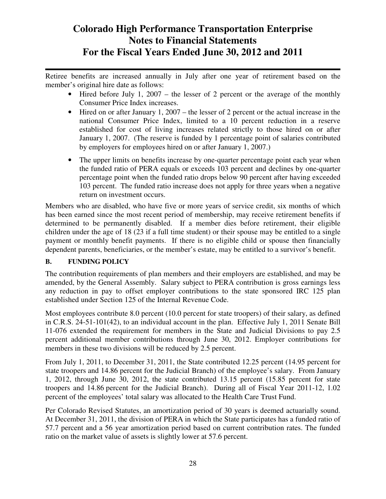Retiree benefits are increased annually in July after one year of retirement based on the member's original hire date as follows:

- Hired before July 1, 2007 the lesser of 2 percent or the average of the monthly Consumer Price Index increases.
- Hired on or after January 1, 2007 the lesser of 2 percent or the actual increase in the national Consumer Price Index, limited to a 10 percent reduction in a reserve established for cost of living increases related strictly to those hired on or after January 1, 2007. (The reserve is funded by 1 percentage point of salaries contributed by employers for employees hired on or after January 1, 2007.)
- The upper limits on benefits increase by one-quarter percentage point each year when the funded ratio of PERA equals or exceeds 103 percent and declines by one-quarter percentage point when the funded ratio drops below 90 percent after having exceeded 103 percent. The funded ratio increase does not apply for three years when a negative return on investment occurs.

Members who are disabled, who have five or more years of service credit, six months of which has been earned since the most recent period of membership, may receive retirement benefits if determined to be permanently disabled. If a member dies before retirement, their eligible children under the age of 18 (23 if a full time student) or their spouse may be entitled to a single payment or monthly benefit payments. If there is no eligible child or spouse then financially dependent parents, beneficiaries, or the member's estate, may be entitled to a survivor's benefit.

### **B. FUNDING POLICY**

The contribution requirements of plan members and their employers are established, and may be amended, by the General Assembly. Salary subject to PERA contribution is gross earnings less any reduction in pay to offset employer contributions to the state sponsored IRC 125 plan established under Section 125 of the Internal Revenue Code.

Most employees contribute 8.0 percent (10.0 percent for state troopers) of their salary, as defined in C.R.S. 24-51-101(42), to an individual account in the plan. Effective July 1, 2011 Senate Bill 11-076 extended the requirement for members in the State and Judicial Divisions to pay 2.5 percent additional member contributions through June 30, 2012. Employer contributions for members in these two divisions will be reduced by 2.5 percent.

From July 1, 2011, to December 31, 2011, the State contributed 12.25 percent (14.95 percent for state troopers and 14.86 percent for the Judicial Branch) of the employee's salary. From January 1, 2012, through June 30, 2012, the state contributed 13.15 percent (15.85 percent for state troopers and 14.86 percent for the Judicial Branch). During all of Fiscal Year 2011-12, 1.02 percent of the employees' total salary was allocated to the Health Care Trust Fund.

Per Colorado Revised Statutes, an amortization period of 30 years is deemed actuarially sound. At December 31, 2011, the division of PERA in which the State participates has a funded ratio of 57.7 percent and a 56 year amortization period based on current contribution rates. The funded ratio on the market value of assets is slightly lower at 57.6 percent.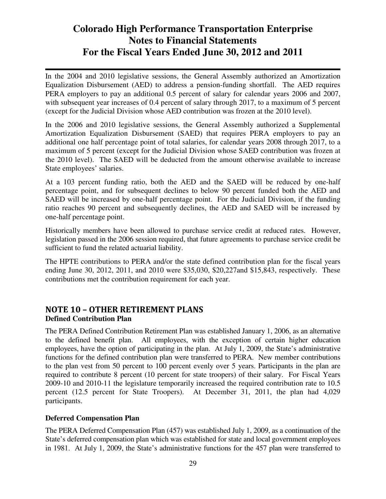In the 2004 and 2010 legislative sessions, the General Assembly authorized an Amortization Equalization Disbursement (AED) to address a pension-funding shortfall. The AED requires PERA employers to pay an additional 0.5 percent of salary for calendar years 2006 and 2007, with subsequent year increases of 0.4 percent of salary through 2017, to a maximum of 5 percent (except for the Judicial Division whose AED contribution was frozen at the 2010 level).

In the 2006 and 2010 legislative sessions, the General Assembly authorized a Supplemental Amortization Equalization Disbursement (SAED) that requires PERA employers to pay an additional one half percentage point of total salaries, for calendar years 2008 through 2017, to a maximum of 5 percent (except for the Judicial Division whose SAED contribution was frozen at the 2010 level). The SAED will be deducted from the amount otherwise available to increase State employees' salaries.

At a 103 percent funding ratio, both the AED and the SAED will be reduced by one-half percentage point, and for subsequent declines to below 90 percent funded both the AED and SAED will be increased by one-half percentage point. For the Judicial Division, if the funding ratio reaches 90 percent and subsequently declines, the AED and SAED will be increased by one-half percentage point.

Historically members have been allowed to purchase service credit at reduced rates. However, legislation passed in the 2006 session required, that future agreements to purchase service credit be sufficient to fund the related actuarial liability.

The HPTE contributions to PERA and/or the state defined contribution plan for the fiscal years ending June 30, 2012, 2011, and 2010 were \$35,030, \$20,227and \$15,843, respectively. These contributions met the contribution requirement for each year.

### NOTE 10 – OTHER RETIREMENT PLANS **Defined Contribution Plan**

The PERA Defined Contribution Retirement Plan was established January 1, 2006, as an alternative to the defined benefit plan. All employees, with the exception of certain higher education employees, have the option of participating in the plan. At July 1, 2009, the State's administrative functions for the defined contribution plan were transferred to PERA. New member contributions to the plan vest from 50 percent to 100 percent evenly over 5 years. Participants in the plan are required to contribute 8 percent (10 percent for state troopers) of their salary. For Fiscal Years 2009-10 and 2010-11 the legislature temporarily increased the required contribution rate to 10.5 percent (12.5 percent for State Troopers). At December 31, 2011, the plan had 4,029 participants.

### **Deferred Compensation Plan**

The PERA Deferred Compensation Plan (457) was established July 1, 2009, as a continuation of the State's deferred compensation plan which was established for state and local government employees in 1981. At July 1, 2009, the State's administrative functions for the 457 plan were transferred to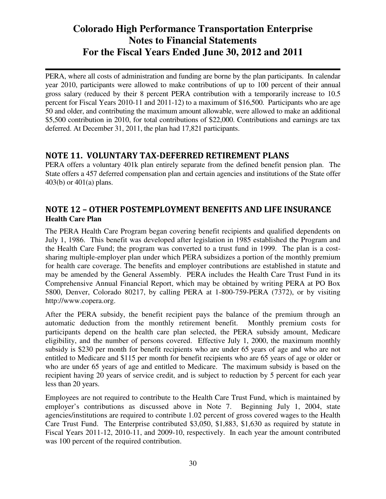PERA, where all costs of administration and funding are borne by the plan participants. In calendar year 2010, participants were allowed to make contributions of up to 100 percent of their annual gross salary (reduced by their 8 percent PERA contribution with a temporarily increase to 10.5 percent for Fiscal Years 2010-11 and 2011-12) to a maximum of \$16,500. Participants who are age 50 and older, and contributing the maximum amount allowable, were allowed to make an additional \$5,500 contribution in 2010, for total contributions of \$22,000. Contributions and earnings are tax deferred. At December 31, 2011, the plan had 17,821 participants.

### NOTE 11. VOLUNTARY TAX-DEFERRED RETIREMENT PLANS

PERA offers a voluntary 401k plan entirely separate from the defined benefit pension plan. The State offers a 457 deferred compensation plan and certain agencies and institutions of the State offer 403(b) or 401(a) plans.

### NOTE 12 – OTHER POSTEMPLOYMENT BENEFITS AND LIFE INSURANCE **Health Care Plan**

The PERA Health Care Program began covering benefit recipients and qualified dependents on July 1, 1986. This benefit was developed after legislation in 1985 established the Program and the Health Care Fund; the program was converted to a trust fund in 1999. The plan is a costsharing multiple-employer plan under which PERA subsidizes a portion of the monthly premium for health care coverage. The benefits and employer contributions are established in statute and may be amended by the General Assembly. PERA includes the Health Care Trust Fund in its Comprehensive Annual Financial Report, which may be obtained by writing PERA at PO Box 5800, Denver, Colorado 80217, by calling PERA at 1-800-759-PERA (7372), or by visiting http://www.copera.org.

After the PERA subsidy, the benefit recipient pays the balance of the premium through an automatic deduction from the monthly retirement benefit. Monthly premium costs for participants depend on the health care plan selected, the PERA subsidy amount, Medicare eligibility, and the number of persons covered. Effective July 1, 2000, the maximum monthly subsidy is \$230 per month for benefit recipients who are under 65 years of age and who are not entitled to Medicare and \$115 per month for benefit recipients who are 65 years of age or older or who are under 65 years of age and entitled to Medicare. The maximum subsidy is based on the recipient having 20 years of service credit, and is subject to reduction by 5 percent for each year less than 20 years.

Employees are not required to contribute to the Health Care Trust Fund, which is maintained by employer's contributions as discussed above in Note 7. Beginning July 1, 2004, state agencies/institutions are required to contribute 1.02 percent of gross covered wages to the Health Care Trust Fund. The Enterprise contributed \$3,050, \$1,883, \$1,630 as required by statute in Fiscal Years 2011-12, 2010-11, and 2009-10, respectively. In each year the amount contributed was 100 percent of the required contribution.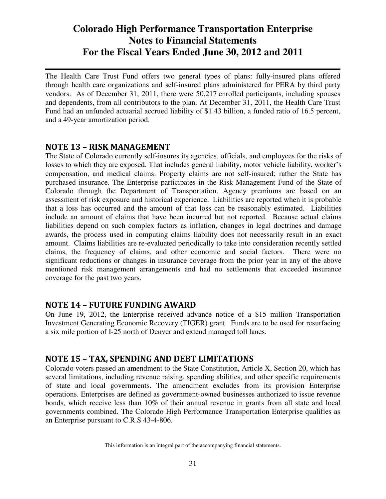The Health Care Trust Fund offers two general types of plans: fully-insured plans offered through health care organizations and self-insured plans administered for PERA by third party vendors. As of December 31, 2011, there were 50,217 enrolled participants, including spouses and dependents, from all contributors to the plan. At December 31, 2011, the Health Care Trust Fund had an unfunded actuarial accrued liability of \$1.43 billion, a funded ratio of 16.5 percent, and a 49-year amortization period.

### NOTE 13 – RISK MANAGEMENT

The State of Colorado currently self-insures its agencies, officials, and employees for the risks of losses to which they are exposed. That includes general liability, motor vehicle liability, worker's compensation, and medical claims. Property claims are not self-insured; rather the State has purchased insurance. The Enterprise participates in the Risk Management Fund of the State of Colorado through the Department of Transportation. Agency premiums are based on an assessment of risk exposure and historical experience. Liabilities are reported when it is probable that a loss has occurred and the amount of that loss can be reasonably estimated. Liabilities include an amount of claims that have been incurred but not reported. Because actual claims liabilities depend on such complex factors as inflation, changes in legal doctrines and damage awards, the process used in computing claims liability does not necessarily result in an exact amount. Claims liabilities are re-evaluated periodically to take into consideration recently settled claims, the frequency of claims, and other economic and social factors. There were no significant reductions or changes in insurance coverage from the prior year in any of the above mentioned risk management arrangements and had no settlements that exceeded insurance coverage for the past two years.

### NOTE 14 – FUTURE FUNDING AWARD

On June 19, 2012, the Enterprise received advance notice of a \$15 million Transportation Investment Generating Economic Recovery (TIGER) grant. Funds are to be used for resurfacing a six mile portion of I-25 north of Denver and extend managed toll lanes.

### NOTE 15 – TAX, SPENDING AND DEBT LIMITATIONS

Colorado voters passed an amendment to the State Constitution, Article X, Section 20, which has several limitations, including revenue raising, spending abilities, and other specific requirements of state and local governments. The amendment excludes from its provision Enterprise operations. Enterprises are defined as government-owned businesses authorized to issue revenue bonds, which receive less than 10% of their annual revenue in grants from all state and local governments combined. The Colorado High Performance Transportation Enterprise qualifies as an Enterprise pursuant to C.R.S 43-4-806.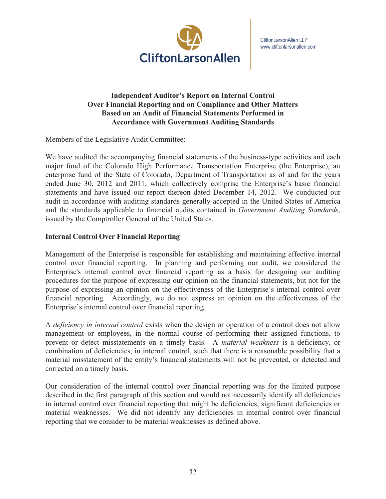

### **Independent Auditor's Report on Internal Control Over Financial Reporting and on Compliance and Other Matters Based on an Audit of Financial Statements Performed in Accordance with Government Auditing Standards**

Members of the Legislative Audit Committee:

We have audited the accompanying financial statements of the business-type activities and each major fund of the Colorado High Performance Transportation Enterprise (the Enterprise), an enterprise fund of the State of Colorado, Department of Transportation as of and for the years ended June 30, 2012 and 2011, which collectively comprise the Enterprise's basic financial statements and have issued our report thereon dated December 14, 2012. We conducted our audit in accordance with auditing standards generally accepted in the United States of America and the standards applicable to financial audits contained in *Government Auditing Standards*, issued by the Comptroller General of the United States.

### **Internal Control Over Financial Reporting**

Management of the Enterprise is responsible for establishing and maintaining effective internal control over financial reporting. In planning and performing our audit, we considered the Enterprise's internal control over financial reporting as a basis for designing our auditing procedures for the purpose of expressing our opinion on the financial statements, but not for the purpose of expressing an opinion on the effectiveness of the Enterprise's internal control over financial reporting. Accordingly, we do not express an opinion on the effectiveness of the Enterprise's internal control over financial reporting.

A *deficiency in internal control* exists when the design or operation of a control does not allow management or employees, in the normal course of performing their assigned functions, to prevent or detect misstatements on a timely basis. A *material weakness* is a deficiency, or combination of deficiencies, in internal control, such that there is a reasonable possibility that a material misstatement of the entity's financial statements will not be prevented, or detected and corrected on a timely basis.

Our consideration of the internal control over financial reporting was for the limited purpose described in the first paragraph of this section and would not necessarily identify all deficiencies in internal control over financial reporting that might be deficiencies, significant deficiencies or material weaknesses. We did not identify any deficiencies in internal control over financial reporting that we consider to be material weaknesses as defined above.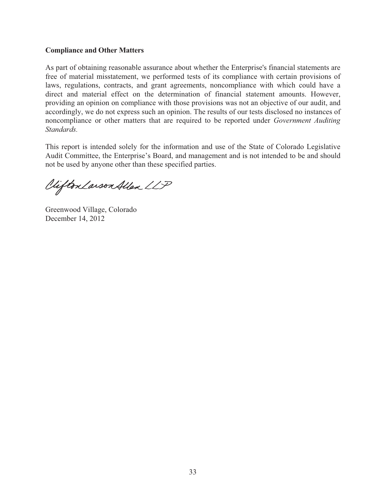### **Compliance and Other Matters**

As part of obtaining reasonable assurance about whether the Enterprise's financial statements are free of material misstatement, we performed tests of its compliance with certain provisions of laws, regulations, contracts, and grant agreements, noncompliance with which could have a direct and material effect on the determination of financial statement amounts. However, providing an opinion on compliance with those provisions was not an objective of our audit, and accordingly, we do not express such an opinion. The results of our tests disclosed no instances of noncompliance or other matters that are required to be reported under *Government Auditing Standards.*

This report is intended solely for the information and use of the State of Colorado Legislative Audit Committee, the Enterprise's Board, and management and is not intended to be and should not be used by anyone other than these specified parties.

Vifton Larson Allen LLP

Greenwood Village, Colorado December 14, 2012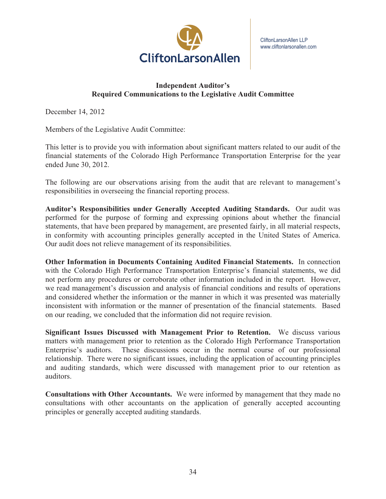

### **Independent Auditor's Required Communications to the Legislative Audit Committee**

December 14, 2012

Members of the Legislative Audit Committee:

This letter is to provide you with information about significant matters related to our audit of the financial statements of the Colorado High Performance Transportation Enterprise for the year ended June 30, 2012.

The following are our observations arising from the audit that are relevant to management's responsibilities in overseeing the financial reporting process.

**Auditor's Responsibilities under Generally Accepted Auditing Standards.** Our audit was performed for the purpose of forming and expressing opinions about whether the financial statements, that have been prepared by management, are presented fairly, in all material respects, in conformity with accounting principles generally accepted in the United States of America. Our audit does not relieve management of its responsibilities.

**Other Information in Documents Containing Audited Financial Statements.** In connection with the Colorado High Performance Transportation Enterprise's financial statements, we did not perform any procedures or corroborate other information included in the report. However, we read management's discussion and analysis of financial conditions and results of operations and considered whether the information or the manner in which it was presented was materially inconsistent with information or the manner of presentation of the financial statements. Based on our reading, we concluded that the information did not require revision.

**Significant Issues Discussed with Management Prior to Retention.** We discuss various matters with management prior to retention as the Colorado High Performance Transportation Enterprise's auditors. These discussions occur in the normal course of our professional relationship. There were no significant issues, including the application of accounting principles and auditing standards, which were discussed with management prior to our retention as auditors.

**Consultations with Other Accountants.** We were informed by management that they made no consultations with other accountants on the application of generally accepted accounting principles or generally accepted auditing standards.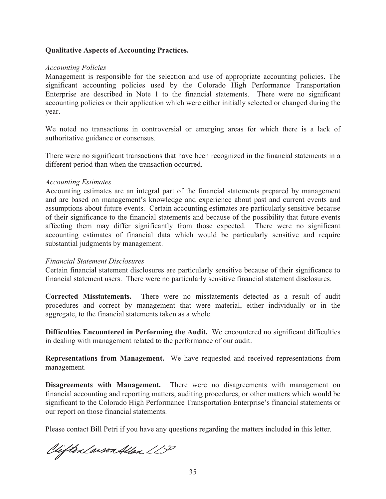#### **Qualitative Aspects of Accounting Practices.**

#### *Accounting Policies*

Management is responsible for the selection and use of appropriate accounting policies. The significant accounting policies used by the Colorado High Performance Transportation Enterprise are described in Note 1 to the financial statements. There were no significant accounting policies or their application which were either initially selected or changed during the year.

We noted no transactions in controversial or emerging areas for which there is a lack of authoritative guidance or consensus.

There were no significant transactions that have been recognized in the financial statements in a different period than when the transaction occurred.

#### *Accounting Estimates*

Accounting estimates are an integral part of the financial statements prepared by management and are based on management's knowledge and experience about past and current events and assumptions about future events. Certain accounting estimates are particularly sensitive because of their significance to the financial statements and because of the possibility that future events affecting them may differ significantly from those expected. There were no significant accounting estimates of financial data which would be particularly sensitive and require substantial judgments by management.

#### *Financial Statement Disclosures*

Certain financial statement disclosures are particularly sensitive because of their significance to financial statement users. There were no particularly sensitive financial statement disclosures.

**Corrected Misstatements.** There were no misstatements detected as a result of audit procedures and correct by management that were material, either individually or in the aggregate, to the financial statements taken as a whole.

**Difficulties Encountered in Performing the Audit.** We encountered no significant difficulties in dealing with management related to the performance of our audit.

**Representations from Management.** We have requested and received representations from management.

**Disagreements with Management.** There were no disagreements with management on financial accounting and reporting matters, auditing procedures, or other matters which would be significant to the Colorado High Performance Transportation Enterprise's financial statements or our report on those financial statements.

Please contact Bill Petri if you have any questions regarding the matters included in this letter.

Viifton Larson Allen LLP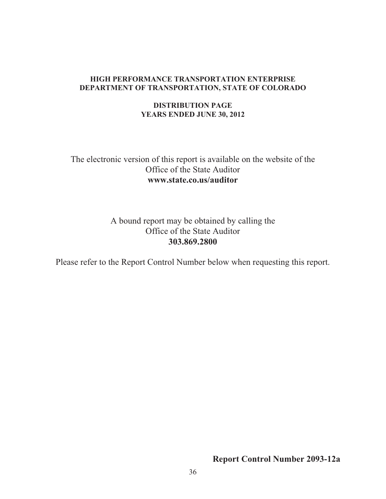#### **HIGH PERFORMANCE TRANSPORTATION ENTERPRISE DEPARTMENT OF TRANSPORTATION, STATE OF COLORADO**

### **DISTRIBUTION PAGE YEARS ENDED JUNE 30, 2012**

# The electronic version of this report is available on the website of the Office of the State Auditor **www.state.co.us/auditor**

### A bound report may be obtained by calling the Office of the State Auditor **303.869.2800**

Please refer to the Report Control Number below when requesting this report.

**Report Control Number 2093-12a**